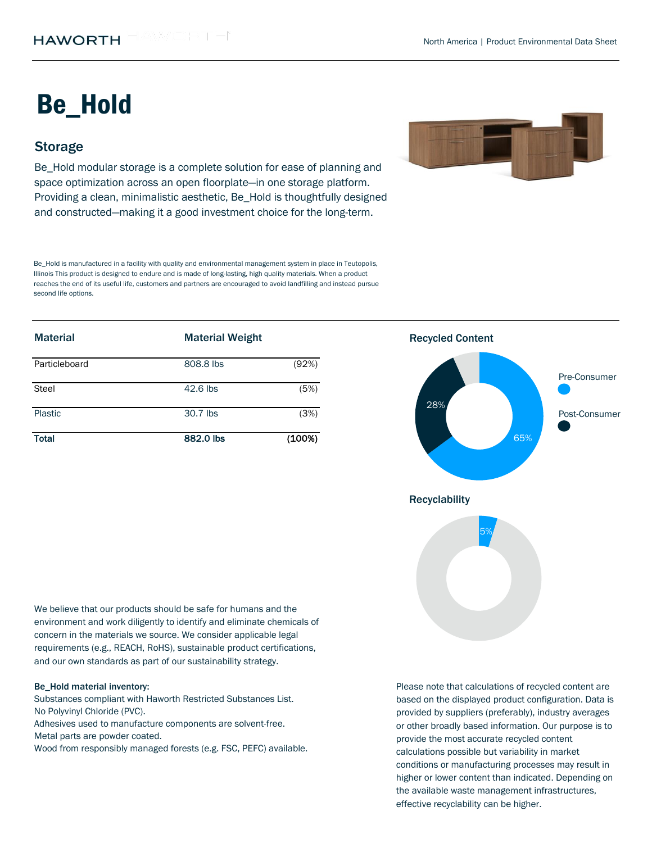# Be\_Hold

## **Storage**

Be Hold modular storage is a complete solution for ease of planning and space optimization across an open floorplate—in one storage platform. Providing a clean, minimalistic aesthetic, Be\_Hold is thoughtfully designed and constructed—making it a good investment choice for the long-term.

Be\_Hold is manufactured in a facility with quality and environmental management system in place in Teutopolis, Illinois This product is designed to endure and is made of long-lasting, high quality materials. When a product reaches the end of its useful life, customers and partners are encouraged to avoid landfilling and instead pursue second life options.

| <b>Material</b> | <b>Material Weight</b> |        | <b>Recycled Content</b> |  |
|-----------------|------------------------|--------|-------------------------|--|
| Particleboard   | 808.8 lbs              | (92%)  |                         |  |
| Steel           | 42.6 lbs               | (5%)   |                         |  |
| Plastic         | 30.7 lbs               | (3%)   | 28%                     |  |
| <b>Total</b>    | 882.0 lbs              | (100%) | 65%                     |  |



We believe that our products should be safe for humans and the environment and work diligently to identify and eliminate chemicals of concern in the materials we source. We consider applicable legal requirements (e.g., REACH, RoHS), sustainable product certifications, and our own standards as part of our sustainability strategy.

#### Be\_Hold material inventory:

Substances compliant with Haworth Restricted Substances List. No Polyvinyl Chloride (PVC).

Metal parts are powder coated. Adhesives used to manufacture components are solvent-free.

Wood from responsibly managed forests (e.g. FSC, PEFC) available.

Please note that calculations of recycled content are based on the displayed product configuration. Data is provided by suppliers (preferably), industry averages or other broadly based information. Our purpose is to provide the most accurate recycled content calculations possible but variability in market conditions or manufacturing processes may result in higher or lower content than indicated. Depending on the available waste management infrastructures, effective recyclability can be higher.